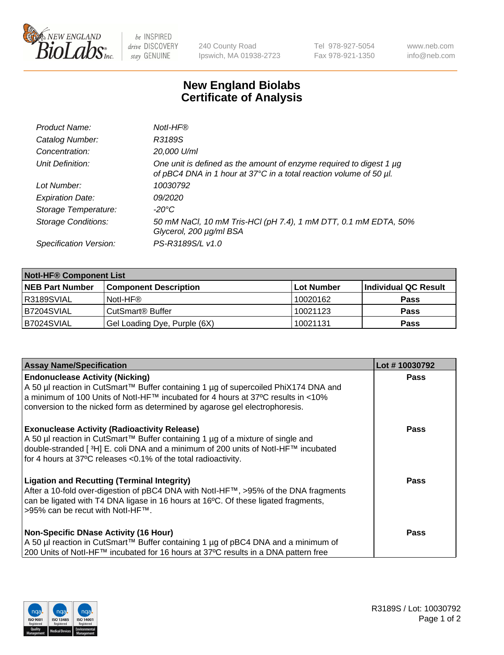

be INSPIRED drive DISCOVERY stay GENUINE

240 County Road Ipswich, MA 01938-2723 Tel 978-927-5054 Fax 978-921-1350 www.neb.com info@neb.com

## **New England Biolabs Certificate of Analysis**

| Product Name:              | Notl-HF®                                                                                                                                  |
|----------------------------|-------------------------------------------------------------------------------------------------------------------------------------------|
| Catalog Number:            | R3189S                                                                                                                                    |
| Concentration:             | 20,000 U/ml                                                                                                                               |
| Unit Definition:           | One unit is defined as the amount of enzyme required to digest 1 µg<br>of pBC4 DNA in 1 hour at 37°C in a total reaction volume of 50 µl. |
| Lot Number:                | 10030792                                                                                                                                  |
| <b>Expiration Date:</b>    | 09/2020                                                                                                                                   |
| Storage Temperature:       | $-20^{\circ}$ C                                                                                                                           |
| <b>Storage Conditions:</b> | 50 mM NaCl, 10 mM Tris-HCl (pH 7.4), 1 mM DTT, 0.1 mM EDTA, 50%<br>Glycerol, 200 µg/ml BSA                                                |
| Specification Version:     | PS-R3189S/L v1.0                                                                                                                          |

| <b>Notl-HF® Component List</b> |                              |            |                      |  |
|--------------------------------|------------------------------|------------|----------------------|--|
| <b>NEB Part Number</b>         | <b>Component Description</b> | Lot Number | Individual QC Result |  |
| R3189SVIAL                     | Notl-HF®                     | 10020162   | <b>Pass</b>          |  |
| B7204SVIAL                     | CutSmart <sup>®</sup> Buffer | 10021123   | <b>Pass</b>          |  |
| B7024SVIAL                     | Gel Loading Dye, Purple (6X) | 10021131   | <b>Pass</b>          |  |

| <b>Assay Name/Specification</b>                                                                                                                                                                                                                                                                 | Lot #10030792 |
|-------------------------------------------------------------------------------------------------------------------------------------------------------------------------------------------------------------------------------------------------------------------------------------------------|---------------|
| <b>Endonuclease Activity (Nicking)</b>                                                                                                                                                                                                                                                          | <b>Pass</b>   |
| A 50 µl reaction in CutSmart™ Buffer containing 1 µg of supercoiled PhiX174 DNA and<br> a minimum of 100 Units of Notl-HF™ incubated for 4 hours at 37°C results in <10%<br>conversion to the nicked form as determined by agarose gel electrophoresis.                                         |               |
| <b>Exonuclease Activity (Radioactivity Release)</b><br>  A 50 µl reaction in CutSmart™ Buffer containing 1 µg of a mixture of single and<br>double-stranded [3H] E. coli DNA and a minimum of 200 units of Notl-HF™ incubated<br>for 4 hours at 37°C releases <0.1% of the total radioactivity. | <b>Pass</b>   |
| <b>Ligation and Recutting (Terminal Integrity)</b><br>After a 10-fold over-digestion of pBC4 DNA with Notl-HF™, >95% of the DNA fragments<br>can be ligated with T4 DNA ligase in 16 hours at 16 $\degree$ C. Of these ligated fragments,<br>1>95% can be recut with NotI-HF™.                  | Pass          |
| <b>Non-Specific DNase Activity (16 Hour)</b><br>A 50 µl reaction in CutSmart™ Buffer containing 1 µg of pBC4 DNA and a minimum of<br>200 Units of Notl-HF™ incubated for 16 hours at 37°C results in a DNA pattern free                                                                         | <b>Pass</b>   |